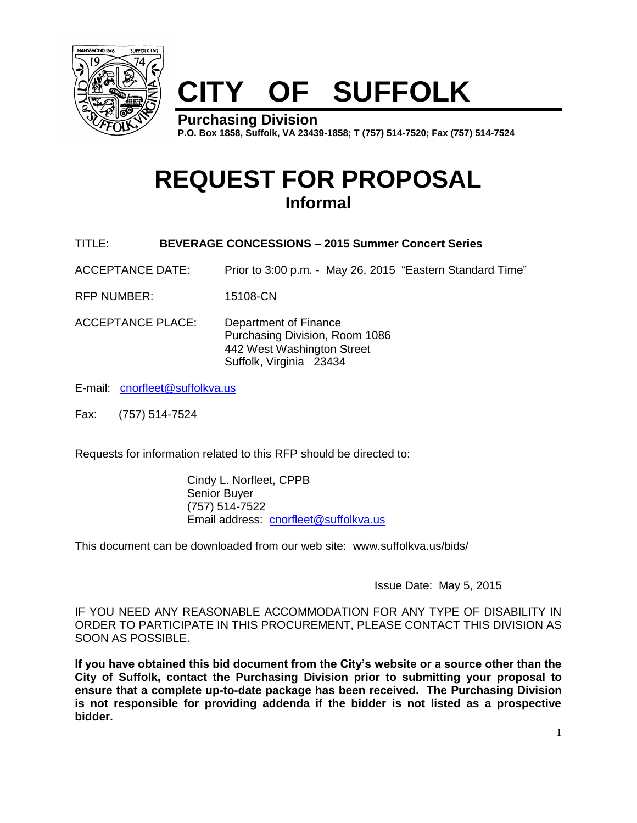

# **CITY OF SUFFOLK**

**Purchasing Division P.O. Box 1858, Suffolk, VA 23439-1858; T (757) 514-7520; Fax (757) 514-7524**

## **REQUEST FOR PROPOSAL Informal**

- TITLE: **BEVERAGE CONCESSIONS – 2015 Summer Concert Series**
- ACCEPTANCE DATE: Prior to 3:00 p.m. May 26, 2015 "Eastern Standard Time"
- RFP NUMBER: 15108-CN
- ACCEPTANCE PLACE: Department of Finance Purchasing Division, Room 1086 442 West Washington Street Suffolk, Virginia 23434
- E-mail: [cnorfleet@suffolkva.us](mailto:cnorfleet@suffolkva.us)
- Fax: (757) 514-7524

Requests for information related to this RFP should be directed to:

Cindy L. Norfleet, CPPB Senior Buyer (757) 514-7522 Email address: [cnorfleet@suffolkva.us](mailto:cnorfleet@suffolkva.us)

This document can be downloaded from our web site: www.suffolkva.us/bids/

Issue Date: May 5, 2015

IF YOU NEED ANY REASONABLE ACCOMMODATION FOR ANY TYPE OF DISABILITY IN ORDER TO PARTICIPATE IN THIS PROCUREMENT, PLEASE CONTACT THIS DIVISION AS SOON AS POSSIBLE.

**If you have obtained this bid document from the City's website or a source other than the City of Suffolk, contact the Purchasing Division prior to submitting your proposal to ensure that a complete up-to-date package has been received. The Purchasing Division is not responsible for providing addenda if the bidder is not listed as a prospective bidder.**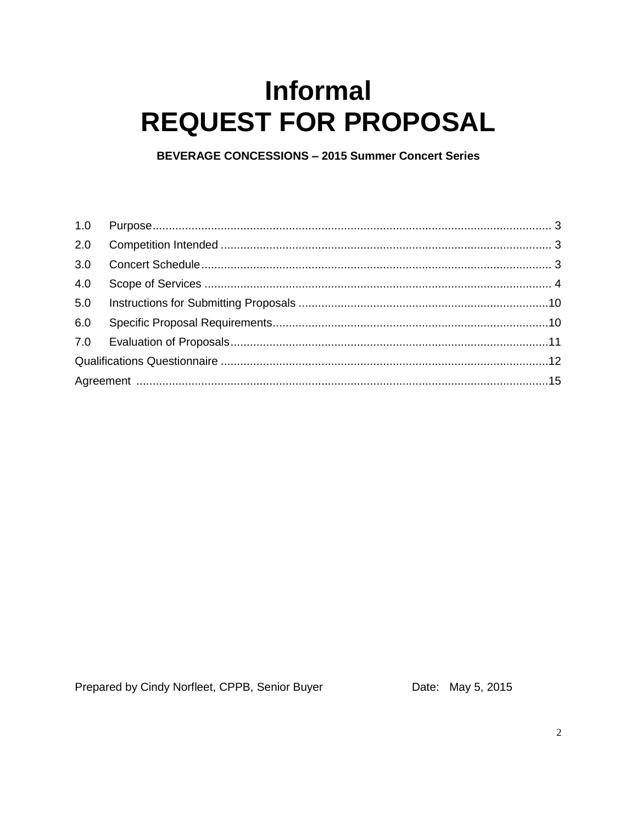## **Informal REQUEST FOR PROPOSAL**

**BEVERAGE CONCESSIONS - 2015 Summer Concert Series** 

Prepared by Cindy Norfleet, CPPB, Senior Buyer

Date: May 5, 2015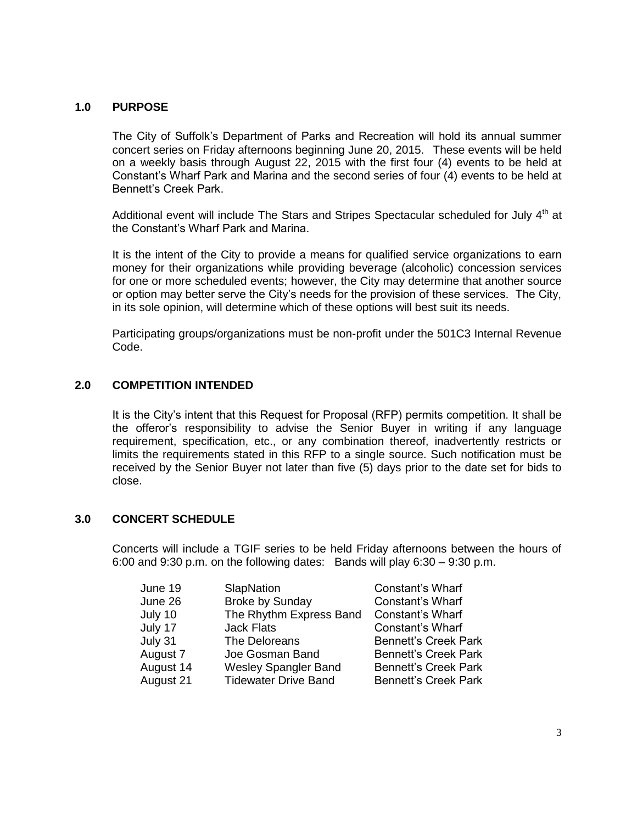#### **1.0 PURPOSE**

The City of Suffolk's Department of Parks and Recreation will hold its annual summer concert series on Friday afternoons beginning June 20, 2015. These events will be held on a weekly basis through August 22, 2015 with the first four (4) events to be held at Constant's Wharf Park and Marina and the second series of four (4) events to be held at Bennett's Creek Park.

Additional event will include The Stars and Stripes Spectacular scheduled for July  $4<sup>th</sup>$  at the Constant's Wharf Park and Marina.

It is the intent of the City to provide a means for qualified service organizations to earn money for their organizations while providing beverage (alcoholic) concession services for one or more scheduled events; however, the City may determine that another source or option may better serve the City's needs for the provision of these services. The City, in its sole opinion, will determine which of these options will best suit its needs.

Participating groups/organizations must be non-profit under the 501C3 Internal Revenue Code.

#### **2.0 COMPETITION INTENDED**

It is the City's intent that this Request for Proposal (RFP) permits competition. It shall be the offeror's responsibility to advise the Senior Buyer in writing if any language requirement, specification, etc., or any combination thereof, inadvertently restricts or limits the requirements stated in this RFP to a single source. Such notification must be received by the Senior Buyer not later than five (5) days prior to the date set for bids to close.

#### **3.0 CONCERT SCHEDULE**

Concerts will include a TGIF series to be held Friday afternoons between the hours of 6:00 and 9:30 p.m. on the following dates: Bands will play  $6:30 - 9:30$  p.m.

| June 19   | SlapNation                  | Constant's Wharf            |
|-----------|-----------------------------|-----------------------------|
| June 26   | <b>Broke by Sunday</b>      | Constant's Wharf            |
| July 10   | The Rhythm Express Band     | Constant's Wharf            |
| July 17   | <b>Jack Flats</b>           | Constant's Wharf            |
| July 31   | The Deloreans               | <b>Bennett's Creek Park</b> |
| August 7  | Joe Gosman Band             | <b>Bennett's Creek Park</b> |
| August 14 | <b>Wesley Spangler Band</b> | <b>Bennett's Creek Park</b> |
| August 21 | <b>Tidewater Drive Band</b> | <b>Bennett's Creek Park</b> |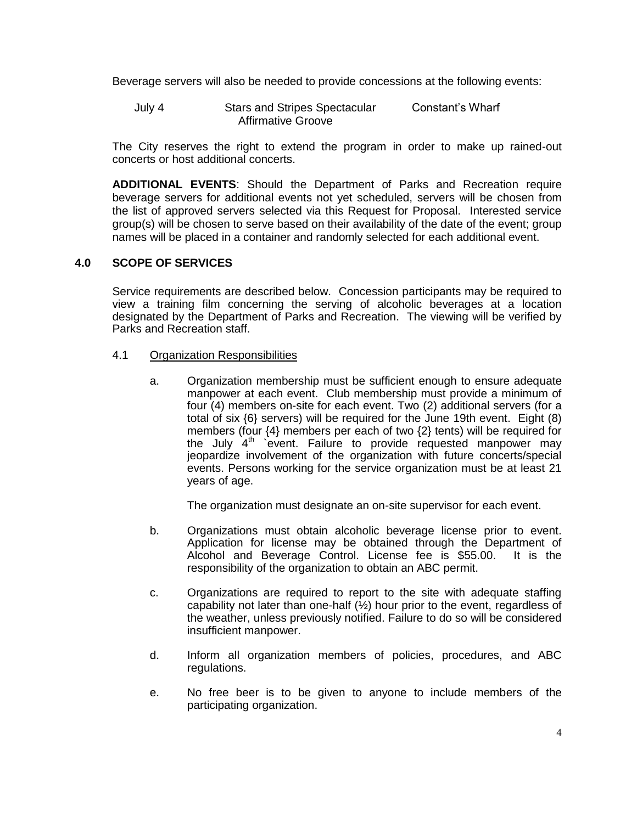Beverage servers will also be needed to provide concessions at the following events:

July 4 Stars and Stripes Spectacular Constant's Wharf Affirmative Groove

The City reserves the right to extend the program in order to make up rained-out concerts or host additional concerts.

**ADDITIONAL EVENTS**: Should the Department of Parks and Recreation require beverage servers for additional events not yet scheduled, servers will be chosen from the list of approved servers selected via this Request for Proposal. Interested service group(s) will be chosen to serve based on their availability of the date of the event; group names will be placed in a container and randomly selected for each additional event.

#### **4.0 SCOPE OF SERVICES**

Service requirements are described below. Concession participants may be required to view a training film concerning the serving of alcoholic beverages at a location designated by the Department of Parks and Recreation. The viewing will be verified by Parks and Recreation staff.

#### 4.1 Organization Responsibilities

a. Organization membership must be sufficient enough to ensure adequate manpower at each event. Club membership must provide a minimum of four (4) members on-site for each event. Two (2) additional servers (for a total of six {6} servers) will be required for the June 19th event. Eight (8) members (four {4} members per each of two {2} tents) will be required for the July 4<sup>th</sup> event. Failure to provide requested manpower may jeopardize involvement of the organization with future concerts/special events. Persons working for the service organization must be at least 21 years of age.

The organization must designate an on-site supervisor for each event.

- b. Organizations must obtain alcoholic beverage license prior to event. Application for license may be obtained through the Department of Alcohol and Beverage Control. License fee is \$55.00. It is the responsibility of the organization to obtain an ABC permit.
- c. Organizations are required to report to the site with adequate staffing capability not later than one-half  $(½)$  hour prior to the event, regardless of the weather, unless previously notified. Failure to do so will be considered insufficient manpower.
- d. Inform all organization members of policies, procedures, and ABC regulations.
- e. No free beer is to be given to anyone to include members of the participating organization.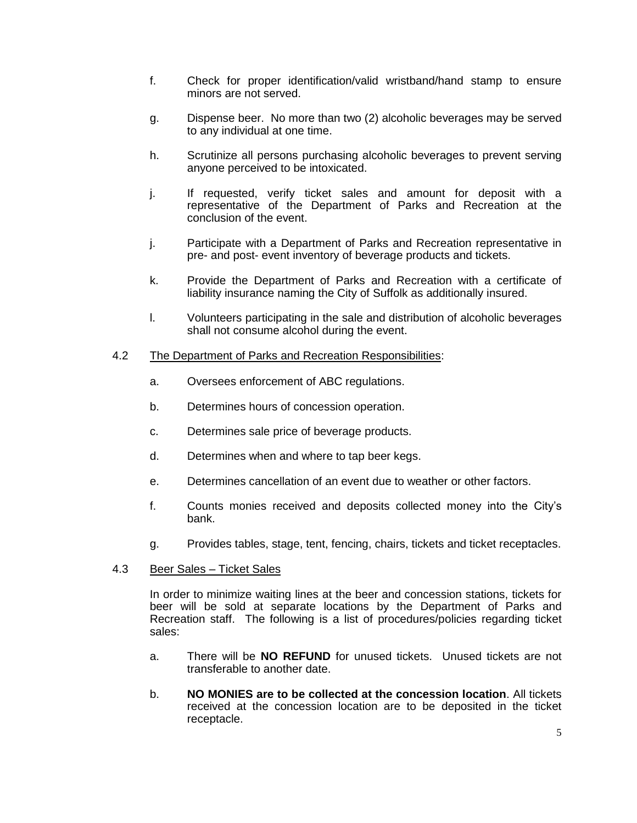- f. Check for proper identification/valid wristband/hand stamp to ensure minors are not served.
- g. Dispense beer. No more than two (2) alcoholic beverages may be served to any individual at one time.
- h. Scrutinize all persons purchasing alcoholic beverages to prevent serving anyone perceived to be intoxicated.
- j. If requested, verify ticket sales and amount for deposit with a representative of the Department of Parks and Recreation at the conclusion of the event.
- j. Participate with a Department of Parks and Recreation representative in pre- and post- event inventory of beverage products and tickets.
- k. Provide the Department of Parks and Recreation with a certificate of liability insurance naming the City of Suffolk as additionally insured.
- l. Volunteers participating in the sale and distribution of alcoholic beverages shall not consume alcohol during the event.

#### 4.2 The Department of Parks and Recreation Responsibilities:

- a. Oversees enforcement of ABC regulations.
- b. Determines hours of concession operation.
- c. Determines sale price of beverage products.
- d. Determines when and where to tap beer kegs.
- e. Determines cancellation of an event due to weather or other factors.
- f. Counts monies received and deposits collected money into the City's bank.
- g. Provides tables, stage, tent, fencing, chairs, tickets and ticket receptacles.
- 4.3 Beer Sales Ticket Sales

In order to minimize waiting lines at the beer and concession stations, tickets for beer will be sold at separate locations by the Department of Parks and Recreation staff. The following is a list of procedures/policies regarding ticket sales:

- a. There will be **NO REFUND** for unused tickets. Unused tickets are not transferable to another date.
- b. **NO MONIES are to be collected at the concession location**. All tickets received at the concession location are to be deposited in the ticket receptacle.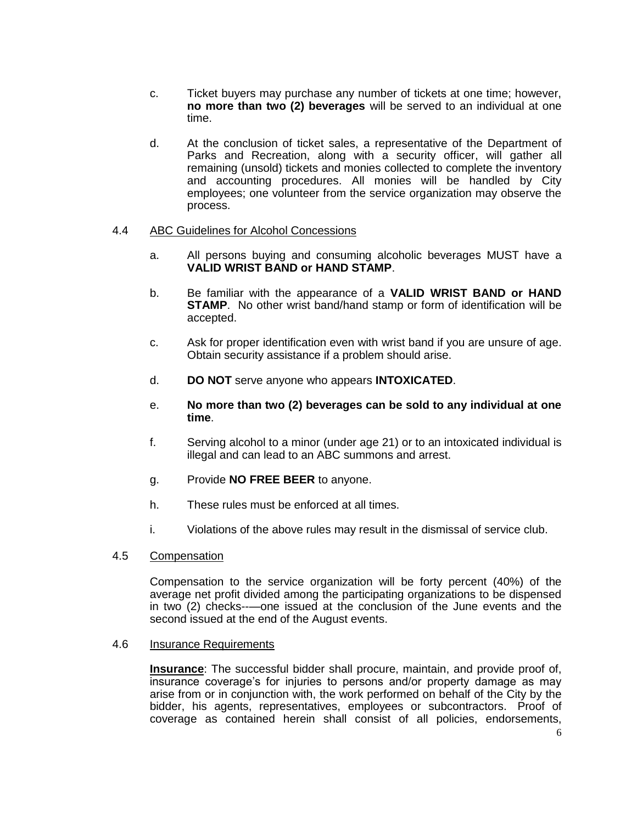- c. Ticket buyers may purchase any number of tickets at one time; however, **no more than two (2) beverages** will be served to an individual at one time.
- d. At the conclusion of ticket sales, a representative of the Department of Parks and Recreation, along with a security officer, will gather all remaining (unsold) tickets and monies collected to complete the inventory and accounting procedures. All monies will be handled by City employees; one volunteer from the service organization may observe the process.

#### 4.4 ABC Guidelines for Alcohol Concessions

- a. All persons buying and consuming alcoholic beverages MUST have a **VALID WRIST BAND or HAND STAMP**.
- b. Be familiar with the appearance of a **VALID WRIST BAND or HAND STAMP**. No other wrist band/hand stamp or form of identification will be accepted.
- c. Ask for proper identification even with wrist band if you are unsure of age. Obtain security assistance if a problem should arise.
- d. **DO NOT** serve anyone who appears **INTOXICATED**.

#### e. **No more than two (2) beverages can be sold to any individual at one time**.

- f. Serving alcohol to a minor (under age 21) or to an intoxicated individual is illegal and can lead to an ABC summons and arrest.
- g. Provide **NO FREE BEER** to anyone.
- h. These rules must be enforced at all times.
- i. Violations of the above rules may result in the dismissal of service club.

#### 4.5 Compensation

Compensation to the service organization will be forty percent (40%) of the average net profit divided among the participating organizations to be dispensed in two (2) checks--—one issued at the conclusion of the June events and the second issued at the end of the August events.

#### 4.6 Insurance Requirements

**Insurance**: The successful bidder shall procure, maintain, and provide proof of, insurance coverage's for injuries to persons and/or property damage as may arise from or in conjunction with, the work performed on behalf of the City by the bidder, his agents, representatives, employees or subcontractors. Proof of coverage as contained herein shall consist of all policies, endorsements,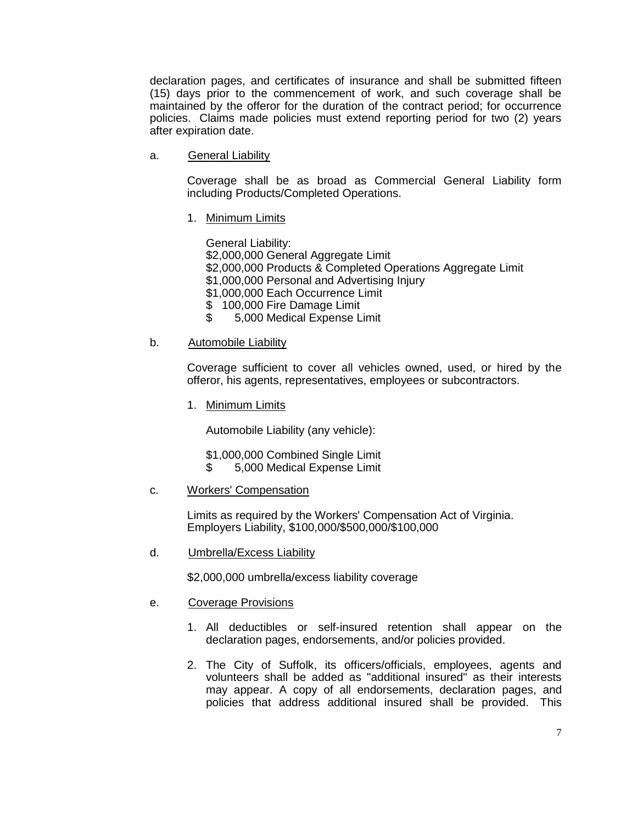declaration pages, and certificates of insurance and shall be submitted fifteen (15) days prior to the commencement of work, and such coverage shall be maintained by the offeror for the duration of the contract period; for occurrence policies. Claims made policies must extend reporting period for two (2) years after expiration date.

a. General Liability

Coverage shall be as broad as Commercial General Liability form including Products/Completed Operations.

1. Minimum Limits

General Liability: \$2,000,000 General Aggregate Limit \$2,000,000 Products & Completed Operations Aggregate Limit \$1,000,000 Personal and Advertising Injury \$1,000,000 Each Occurrence Limit \$ 100,000 Fire Damage Limit \$ 5,000 Medical Expense Limit

b. Automobile Liability

Coverage sufficient to cover all vehicles owned, used, or hired by the offeror, his agents, representatives, employees or subcontractors.

1. Minimum Limits

Automobile Liability (any vehicle):

\$1,000,000 Combined Single Limit

- \$ 5,000 Medical Expense Limit
- c. Workers' Compensation

Limits as required by the Workers' Compensation Act of Virginia. Employers Liability, \$100,000/\$500,000/\$100,000

d. Umbrella/Excess Liability

\$2,000,000 umbrella/excess liability coverage

- e. Coverage Provisions
	- 1. All deductibles or self-insured retention shall appear on the declaration pages, endorsements, and/or policies provided.
	- 2. The City of Suffolk, its officers/officials, employees, agents and volunteers shall be added as "additional insured" as their interests may appear. A copy of all endorsements, declaration pages, and policies that address additional insured shall be provided. This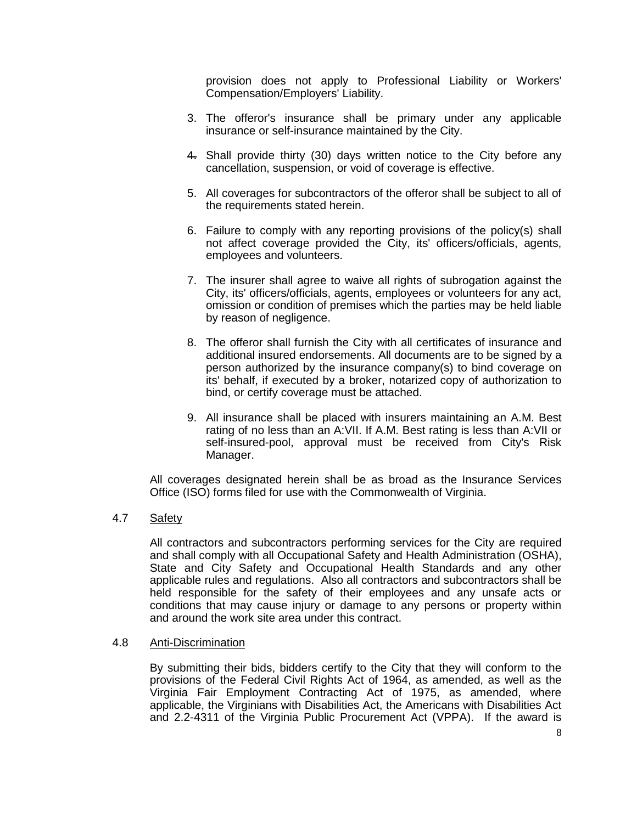provision does not apply to Professional Liability or Workers' Compensation/Employers' Liability.

- 3. The offeror's insurance shall be primary under any applicable insurance or self-insurance maintained by the City.
- 4. Shall provide thirty (30) days written notice to the City before any cancellation, suspension, or void of coverage is effective.
- 5. All coverages for subcontractors of the offeror shall be subject to all of the requirements stated herein.
- 6. Failure to comply with any reporting provisions of the policy(s) shall not affect coverage provided the City, its' officers/officials, agents, employees and volunteers.
- 7. The insurer shall agree to waive all rights of subrogation against the City, its' officers/officials, agents, employees or volunteers for any act, omission or condition of premises which the parties may be held liable by reason of negligence.
- 8. The offeror shall furnish the City with all certificates of insurance and additional insured endorsements. All documents are to be signed by a person authorized by the insurance company(s) to bind coverage on its' behalf, if executed by a broker, notarized copy of authorization to bind, or certify coverage must be attached.
- 9. All insurance shall be placed with insurers maintaining an A.M. Best rating of no less than an A:VII. If A.M. Best rating is less than A:VII or self-insured-pool, approval must be received from City's Risk Manager.

All coverages designated herein shall be as broad as the Insurance Services Office (ISO) forms filed for use with the Commonwealth of Virginia.

#### 4.7 Safety

All contractors and subcontractors performing services for the City are required and shall comply with all Occupational Safety and Health Administration (OSHA), State and City Safety and Occupational Health Standards and any other applicable rules and regulations. Also all contractors and subcontractors shall be held responsible for the safety of their employees and any unsafe acts or conditions that may cause injury or damage to any persons or property within and around the work site area under this contract.

#### 4.8 Anti-Discrimination

By submitting their bids, bidders certify to the City that they will conform to the provisions of the Federal Civil Rights Act of 1964, as amended, as well as the Virginia Fair Employment Contracting Act of 1975, as amended, where applicable, the Virginians with Disabilities Act, the Americans with Disabilities Act and 2.2-4311 of the Virginia Public Procurement Act (VPPA). If the award is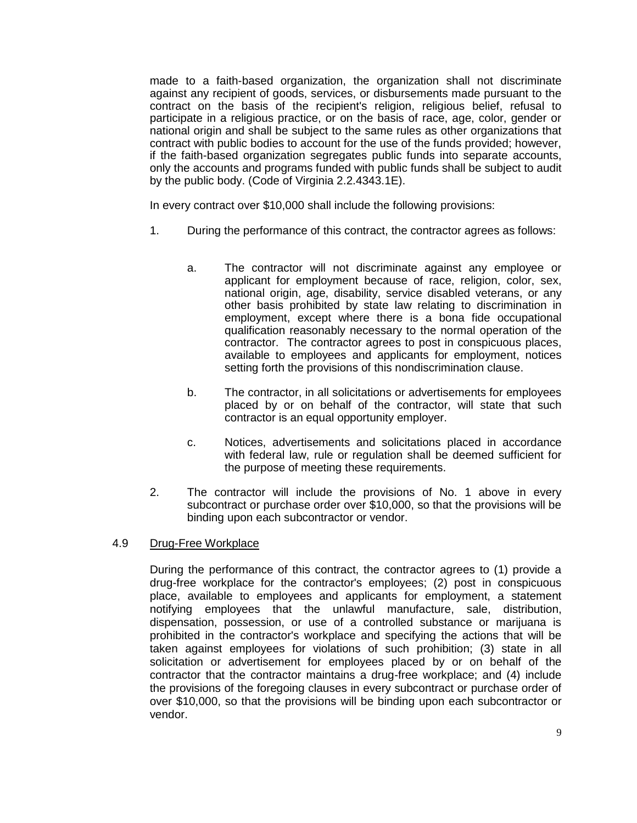made to a faith-based organization, the organization shall not discriminate against any recipient of goods, services, or disbursements made pursuant to the contract on the basis of the recipient's religion, religious belief, refusal to participate in a religious practice, or on the basis of race, age, color, gender or national origin and shall be subject to the same rules as other organizations that contract with public bodies to account for the use of the funds provided; however, if the faith-based organization segregates public funds into separate accounts, only the accounts and programs funded with public funds shall be subject to audit by the public body. (Code of Virginia 2.2.4343.1E).

In every contract over \$10,000 shall include the following provisions:

- 1. During the performance of this contract, the contractor agrees as follows:
	- a. The contractor will not discriminate against any employee or applicant for employment because of race, religion, color, sex, national origin, age, disability, service disabled veterans, or any other basis prohibited by state law relating to discrimination in employment, except where there is a bona fide occupational qualification reasonably necessary to the normal operation of the contractor. The contractor agrees to post in conspicuous places, available to employees and applicants for employment, notices setting forth the provisions of this nondiscrimination clause.
	- b. The contractor, in all solicitations or advertisements for employees placed by or on behalf of the contractor, will state that such contractor is an equal opportunity employer.
	- c. Notices, advertisements and solicitations placed in accordance with federal law, rule or regulation shall be deemed sufficient for the purpose of meeting these requirements.
- 2. The contractor will include the provisions of No. 1 above in every subcontract or purchase order over \$10,000, so that the provisions will be binding upon each subcontractor or vendor.

#### 4.9 Drug-Free Workplace

During the performance of this contract, the contractor agrees to (1) provide a drug-free workplace for the contractor's employees; (2) post in conspicuous place, available to employees and applicants for employment, a statement notifying employees that the unlawful manufacture, sale, distribution, dispensation, possession, or use of a controlled substance or marijuana is prohibited in the contractor's workplace and specifying the actions that will be taken against employees for violations of such prohibition; (3) state in all solicitation or advertisement for employees placed by or on behalf of the contractor that the contractor maintains a drug-free workplace; and (4) include the provisions of the foregoing clauses in every subcontract or purchase order of over \$10,000, so that the provisions will be binding upon each subcontractor or vendor.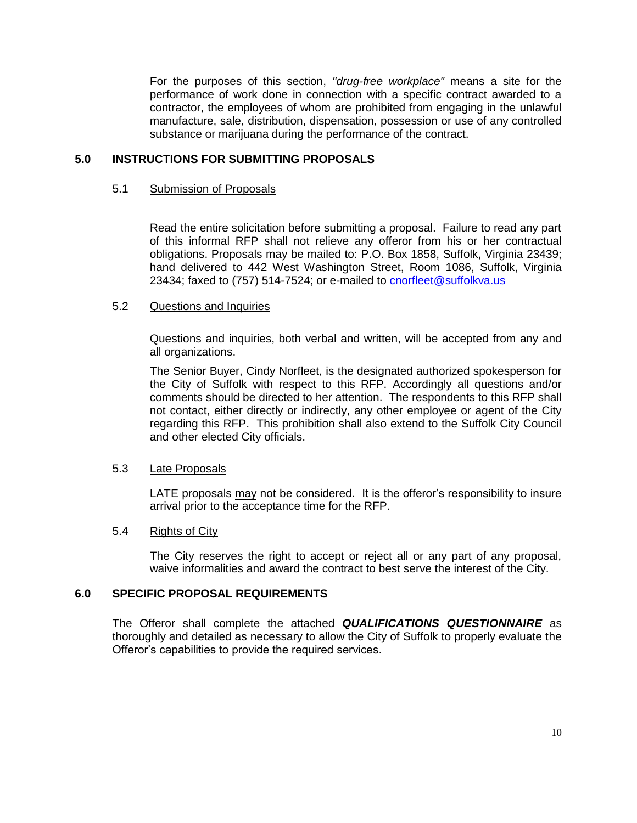For the purposes of this section, *"drug-free workplace"* means a site for the performance of work done in connection with a specific contract awarded to a contractor, the employees of whom are prohibited from engaging in the unlawful manufacture, sale, distribution, dispensation, possession or use of any controlled substance or marijuana during the performance of the contract.

#### **5.0 INSTRUCTIONS FOR SUBMITTING PROPOSALS**

#### 5.1 Submission of Proposals

Read the entire solicitation before submitting a proposal. Failure to read any part of this informal RFP shall not relieve any offeror from his or her contractual obligations. Proposals may be mailed to: P.O. Box 1858, Suffolk, Virginia 23439; hand delivered to 442 West Washington Street, Room 1086, Suffolk, Virginia 23434; faxed to (757) 514-7524; or e-mailed to [cnorfleet@suffolkva.us](mailto:cnorfleet@suffolkva.us)

#### 5.2 Questions and Inquiries

Questions and inquiries, both verbal and written, will be accepted from any and all organizations.

The Senior Buyer, Cindy Norfleet, is the designated authorized spokesperson for the City of Suffolk with respect to this RFP. Accordingly all questions and/or comments should be directed to her attention. The respondents to this RFP shall not contact, either directly or indirectly, any other employee or agent of the City regarding this RFP. This prohibition shall also extend to the Suffolk City Council and other elected City officials.

#### 5.3 Late Proposals

LATE proposals may not be considered. It is the offeror's responsibility to insure arrival prior to the acceptance time for the RFP.

#### 5.4 Rights of City

The City reserves the right to accept or reject all or any part of any proposal, waive informalities and award the contract to best serve the interest of the City.

#### **6.0 SPECIFIC PROPOSAL REQUIREMENTS**

The Offeror shall complete the attached *QUALIFICATIONS QUESTIONNAIRE* as thoroughly and detailed as necessary to allow the City of Suffolk to properly evaluate the Offeror's capabilities to provide the required services.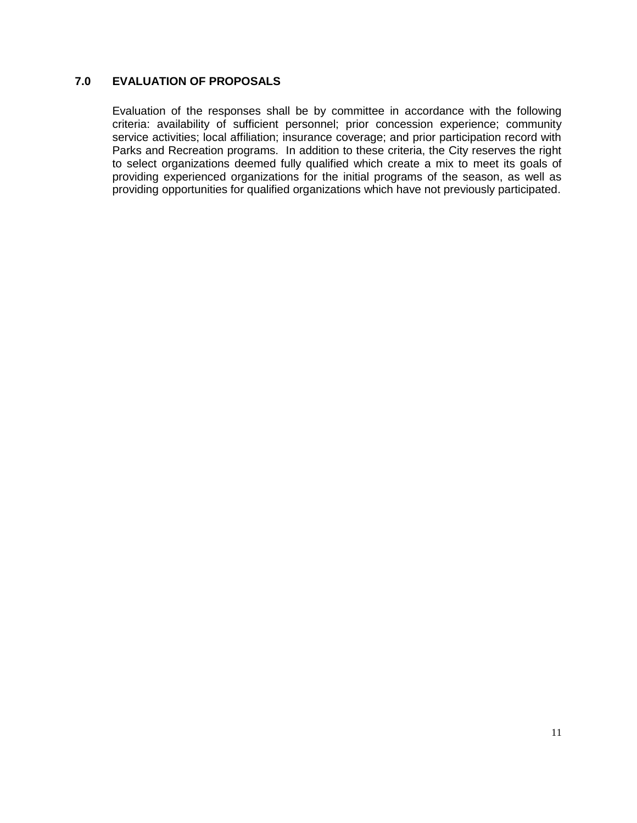#### **7.0 EVALUATION OF PROPOSALS**

Evaluation of the responses shall be by committee in accordance with the following criteria: availability of sufficient personnel; prior concession experience; community service activities; local affiliation; insurance coverage; and prior participation record with Parks and Recreation programs. In addition to these criteria, the City reserves the right to select organizations deemed fully qualified which create a mix to meet its goals of providing experienced organizations for the initial programs of the season, as well as providing opportunities for qualified organizations which have not previously participated.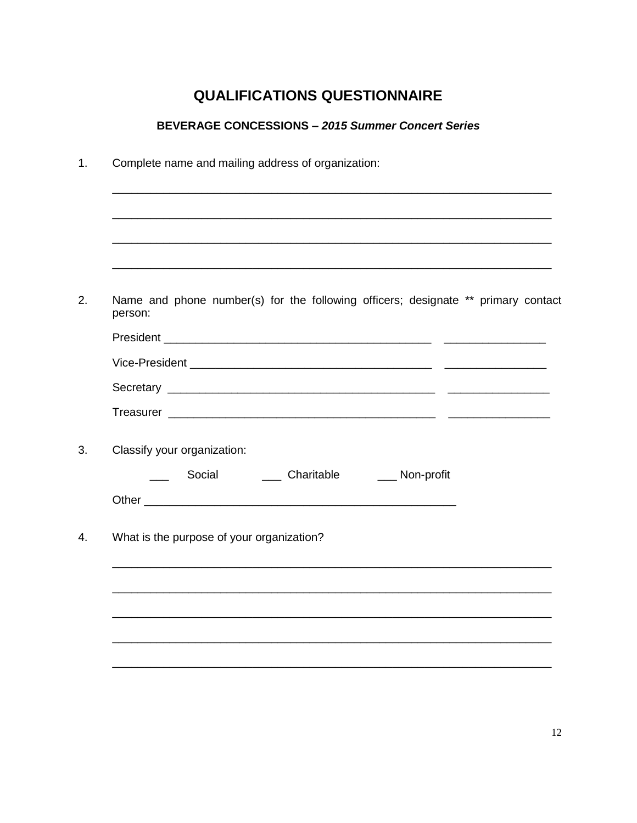## **QUALIFICATIONS QUESTIONNAIRE**

#### **BEVERAGE CONCESSIONS - 2015 Summer Concert Series**

| Name and phone number(s) for the following officers; designate ** primary contact<br>person: |
|----------------------------------------------------------------------------------------------|
|                                                                                              |
|                                                                                              |
|                                                                                              |
|                                                                                              |
| Classify your organization:                                                                  |
| Social _______ Charitable ______ Non-profit<br>$\overline{\phantom{a}}$                      |
|                                                                                              |
| What is the purpose of your organization?                                                    |
|                                                                                              |
|                                                                                              |
|                                                                                              |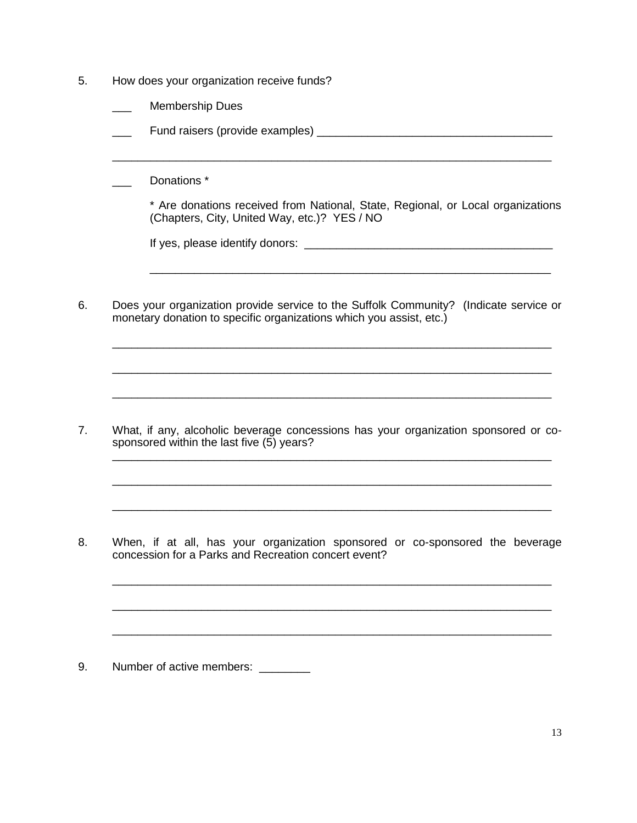- 5. How does your organization receive funds?
	- Membership Dues
	- \_\_\_ Fund raisers (provide examples) \_\_\_\_\_\_\_\_\_\_\_\_\_\_\_\_\_\_\_\_\_\_\_\_\_\_\_\_\_\_\_\_\_\_\_\_\_

Donations \*

\* Are donations received from National, State, Regional, or Local organizations (Chapters, City, United Way, etc.)? YES / NO

\_\_\_\_\_\_\_\_\_\_\_\_\_\_\_\_\_\_\_\_\_\_\_\_\_\_\_\_\_\_\_\_\_\_\_\_\_\_\_\_\_\_\_\_\_\_\_\_\_\_\_\_\_\_\_\_\_\_\_\_\_\_\_

If yes, please identify donors: \_\_\_\_\_\_\_\_\_\_\_\_\_\_\_\_\_\_\_\_\_\_\_\_\_\_\_\_\_\_\_\_\_\_\_\_\_\_\_

\_\_\_\_\_\_\_\_\_\_\_\_\_\_\_\_\_\_\_\_\_\_\_\_\_\_\_\_\_\_\_\_\_\_\_\_\_\_\_\_\_\_\_\_\_\_\_\_\_\_\_\_\_\_\_\_\_\_\_\_\_\_\_\_\_\_\_\_\_

6. Does your organization provide service to the Suffolk Community? (Indicate service or monetary donation to specific organizations which you assist, etc.)

\_\_\_\_\_\_\_\_\_\_\_\_\_\_\_\_\_\_\_\_\_\_\_\_\_\_\_\_\_\_\_\_\_\_\_\_\_\_\_\_\_\_\_\_\_\_\_\_\_\_\_\_\_\_\_\_\_\_\_\_\_\_\_\_\_\_\_\_\_

\_\_\_\_\_\_\_\_\_\_\_\_\_\_\_\_\_\_\_\_\_\_\_\_\_\_\_\_\_\_\_\_\_\_\_\_\_\_\_\_\_\_\_\_\_\_\_\_\_\_\_\_\_\_\_\_\_\_\_\_\_\_\_\_\_\_\_\_\_

\_\_\_\_\_\_\_\_\_\_\_\_\_\_\_\_\_\_\_\_\_\_\_\_\_\_\_\_\_\_\_\_\_\_\_\_\_\_\_\_\_\_\_\_\_\_\_\_\_\_\_\_\_\_\_\_\_\_\_\_\_\_\_\_\_\_\_\_\_

\_\_\_\_\_\_\_\_\_\_\_\_\_\_\_\_\_\_\_\_\_\_\_\_\_\_\_\_\_\_\_\_\_\_\_\_\_\_\_\_\_\_\_\_\_\_\_\_\_\_\_\_\_\_\_\_\_\_\_\_\_\_\_\_\_\_\_\_\_

\_\_\_\_\_\_\_\_\_\_\_\_\_\_\_\_\_\_\_\_\_\_\_\_\_\_\_\_\_\_\_\_\_\_\_\_\_\_\_\_\_\_\_\_\_\_\_\_\_\_\_\_\_\_\_\_\_\_\_\_\_\_\_\_\_\_\_\_\_

\_\_\_\_\_\_\_\_\_\_\_\_\_\_\_\_\_\_\_\_\_\_\_\_\_\_\_\_\_\_\_\_\_\_\_\_\_\_\_\_\_\_\_\_\_\_\_\_\_\_\_\_\_\_\_\_\_\_\_\_\_\_\_\_\_\_\_\_\_

\_\_\_\_\_\_\_\_\_\_\_\_\_\_\_\_\_\_\_\_\_\_\_\_\_\_\_\_\_\_\_\_\_\_\_\_\_\_\_\_\_\_\_\_\_\_\_\_\_\_\_\_\_\_\_\_\_\_\_\_\_\_\_\_\_\_\_\_\_

\_\_\_\_\_\_\_\_\_\_\_\_\_\_\_\_\_\_\_\_\_\_\_\_\_\_\_\_\_\_\_\_\_\_\_\_\_\_\_\_\_\_\_\_\_\_\_\_\_\_\_\_\_\_\_\_\_\_\_\_\_\_\_\_\_\_\_\_\_

7. What, if any, alcoholic beverage concessions has your organization sponsored or cosponsored within the last five (5) years?

8. When, if at all, has your organization sponsored or co-sponsored the beverage concession for a Parks and Recreation concert event?

9. Number of active members: \_\_\_\_\_\_\_\_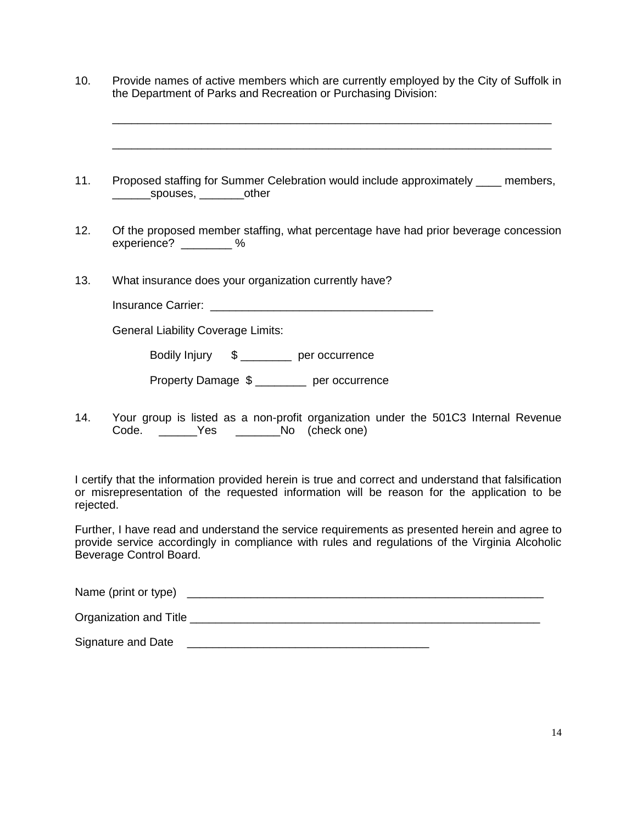10. Provide names of active members which are currently employed by the City of Suffolk in the Department of Parks and Recreation or Purchasing Division:

\_\_\_\_\_\_\_\_\_\_\_\_\_\_\_\_\_\_\_\_\_\_\_\_\_\_\_\_\_\_\_\_\_\_\_\_\_\_\_\_\_\_\_\_\_\_\_\_\_\_\_\_\_\_\_\_\_\_\_\_\_\_\_\_\_\_\_\_\_

\_\_\_\_\_\_\_\_\_\_\_\_\_\_\_\_\_\_\_\_\_\_\_\_\_\_\_\_\_\_\_\_\_\_\_\_\_\_\_\_\_\_\_\_\_\_\_\_\_\_\_\_\_\_\_\_\_\_\_\_\_\_\_\_\_\_\_\_\_

- 11. Proposed staffing for Summer Celebration would include approximately \_\_\_\_ members, \_\_\_\_\_\_spouses, \_\_\_\_\_\_\_other
- 12. Of the proposed member staffing, what percentage have had prior beverage concession experience?  $\%$
- 13. What insurance does your organization currently have?

| <b>Insurance Carrier:</b> |  |
|---------------------------|--|
|---------------------------|--|

General Liability Coverage Limits:

Bodily Injury \$ per occurrence

Property Damage \$ per occurrence

14. Your group is listed as a non-profit organization under the 501C3 Internal Revenue Code. \_\_\_\_\_\_Yes \_\_\_\_\_\_No (check one)

I certify that the information provided herein is true and correct and understand that falsification or misrepresentation of the requested information will be reason for the application to be rejected.

Further, I have read and understand the service requirements as presented herein and agree to provide service accordingly in compliance with rules and regulations of the Virginia Alcoholic Beverage Control Board.

Name (print or type) \_\_\_\_\_\_\_\_\_\_\_\_\_\_\_\_\_\_\_\_\_\_\_\_\_\_\_\_\_\_\_\_\_\_\_\_\_\_\_\_\_\_\_\_\_\_\_\_\_\_\_\_\_\_\_\_

Organization and Title \_\_\_\_\_\_\_\_\_\_\_\_\_\_\_\_\_\_\_\_\_\_\_\_\_\_\_\_\_\_\_\_\_\_\_\_\_\_\_\_\_\_\_\_\_\_\_\_\_\_\_\_\_\_\_

Signature and Date \_\_\_\_\_\_\_\_\_\_\_\_\_\_\_\_\_\_\_\_\_\_\_\_\_\_\_\_\_\_\_\_\_\_\_\_\_\_